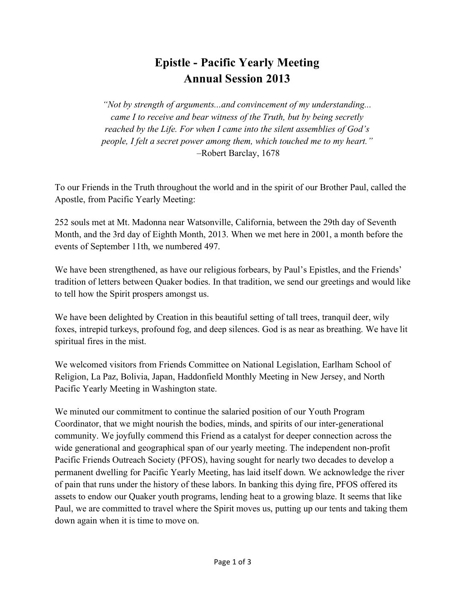# **Epistle - Pacific Yearly Meeting Annual Session 2013**

*"Not by strength of arguments...and convincement of my understanding... came I to receive and bear witness of the Truth, but by being secretly reached by the Life. For when I came into the silent assemblies of God's people, I felt a secret power among them, which touched me to my heart."*  –Robert Barclay, 1678

To our Friends in the Truth throughout the world and in the spirit of our Brother Paul, called the Apostle, from Pacific Yearly Meeting:

252 souls met at Mt. Madonna near Watsonville, California, between the 29th day of Seventh Month, and the 3rd day of Eighth Month, 2013. When we met here in 2001, a month before the events of September 11th, we numbered 497.

We have been strengthened, as have our religious forbears, by Paul's Epistles, and the Friends' tradition of letters between Quaker bodies. In that tradition, we send our greetings and would like to tell how the Spirit prospers amongst us.

We have been delighted by Creation in this beautiful setting of tall trees, tranquil deer, wily foxes, intrepid turkeys, profound fog, and deep silences. God is as near as breathing. We have lit spiritual fires in the mist.

We welcomed visitors from Friends Committee on National Legislation, Earlham School of Religion, La Paz, Bolivia, Japan, Haddonfield Monthly Meeting in New Jersey, and North Pacific Yearly Meeting in Washington state.

We minuted our commitment to continue the salaried position of our Youth Program Coordinator, that we might nourish the bodies, minds, and spirits of our inter-generational community. We joyfully commend this Friend as a catalyst for deeper connection across the wide generational and geographical span of our yearly meeting. The independent non-profit Pacific Friends Outreach Society (PFOS), having sought for nearly two decades to develop a permanent dwelling for Pacific Yearly Meeting, has laid itself down. We acknowledge the river of pain that runs under the history of these labors. In banking this dying fire, PFOS offered its assets to endow our Quaker youth programs, lending heat to a growing blaze. It seems that like Paul, we are committed to travel where the Spirit moves us, putting up our tents and taking them down again when it is time to move on.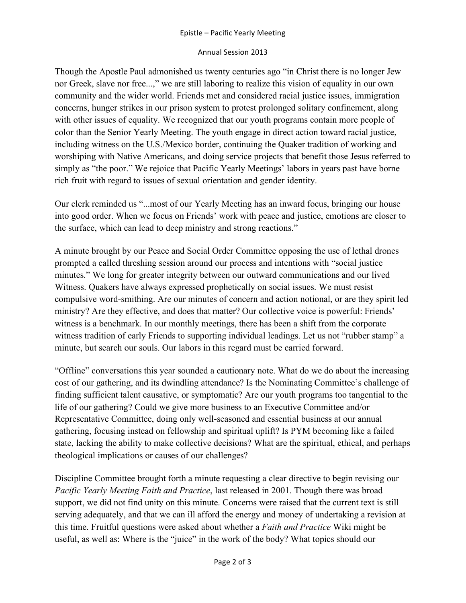#### Epistle – Pacific Yearly Meeting

#### Annual Session 2013

Though the Apostle Paul admonished us twenty centuries ago "in Christ there is no longer Jew nor Greek, slave nor free...," we are still laboring to realize this vision of equality in our own community and the wider world. Friends met and considered racial justice issues, immigration concerns, hunger strikes in our prison system to protest prolonged solitary confinement, along with other issues of equality. We recognized that our youth programs contain more people of color than the Senior Yearly Meeting. The youth engage in direct action toward racial justice, including witness on the U.S./Mexico border, continuing the Quaker tradition of working and worshiping with Native Americans, and doing service projects that benefit those Jesus referred to simply as "the poor." We rejoice that Pacific Yearly Meetings' labors in years past have borne rich fruit with regard to issues of sexual orientation and gender identity.

Our clerk reminded us "...most of our Yearly Meeting has an inward focus, bringing our house into good order. When we focus on Friends' work with peace and justice, emotions are closer to the surface, which can lead to deep ministry and strong reactions."

A minute brought by our Peace and Social Order Committee opposing the use of lethal drones prompted a called threshing session around our process and intentions with "social justice minutes." We long for greater integrity between our outward communications and our lived Witness. Quakers have always expressed prophetically on social issues. We must resist compulsive word-smithing. Are our minutes of concern and action notional, or are they spirit led ministry? Are they effective, and does that matter? Our collective voice is powerful: Friends' witness is a benchmark. In our monthly meetings, there has been a shift from the corporate witness tradition of early Friends to supporting individual leadings. Let us not "rubber stamp" a minute, but search our souls. Our labors in this regard must be carried forward.

"Offline" conversations this year sounded a cautionary note. What do we do about the increasing cost of our gathering, and its dwindling attendance? Is the Nominating Committee's challenge of finding sufficient talent causative, or symptomatic? Are our youth programs too tangential to the life of our gathering? Could we give more business to an Executive Committee and/or Representative Committee, doing only well-seasoned and essential business at our annual gathering, focusing instead on fellowship and spiritual uplift? Is PYM becoming like a failed state, lacking the ability to make collective decisions? What are the spiritual, ethical, and perhaps theological implications or causes of our challenges?

Discipline Committee brought forth a minute requesting a clear directive to begin revising our *Pacific Yearly Meeting Faith and Practice*, last released in 2001. Though there was broad support, we did not find unity on this minute. Concerns were raised that the current text is still serving adequately, and that we can ill afford the energy and money of undertaking a revision at this time. Fruitful questions were asked about whether a *Faith and Practice* Wiki might be useful, as well as: Where is the "juice" in the work of the body? What topics should our